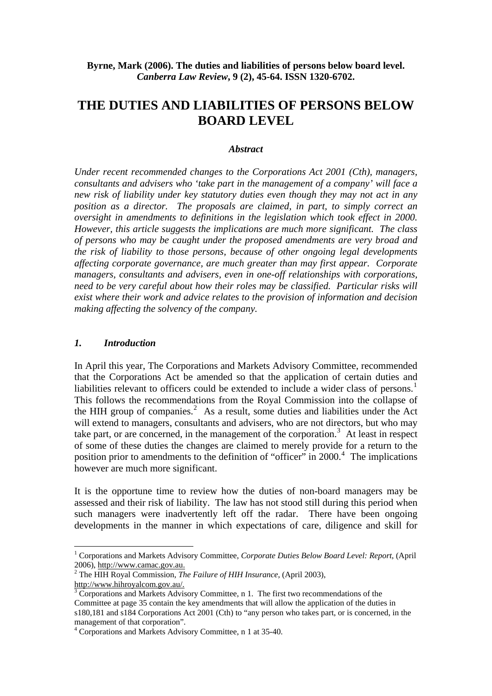**Byrne, Mark (2006). The duties and liabilities of persons below board level.** *Canberra Law Review***, 9 (2), 45-64. ISSN 1320-6702.**

# **THE DUTIES AND LIABILITIES OF PERSONS BELOW BOARD LEVEL**

#### *Abstract*

*Under recent recommended changes to the Corporations Act 2001 (Cth), managers, consultants and advisers who 'take part in the management of a company' will face a new risk of liability under key statutory duties even though they may not act in any position as a director. The proposals are claimed, in part, to simply correct an oversight in amendments to definitions in the legislation which took effect in 2000. However, this article suggests the implications are much more significant. The class of persons who may be caught under the proposed amendments are very broad and the risk of liability to those persons, because of other ongoing legal developments affecting corporate governance, are much greater than may first appear. Corporate managers, consultants and advisers, even in one-off relationships with corporations, need to be very careful about how their roles may be classified. Particular risks will exist where their work and advice relates to the provision of information and decision making affecting the solvency of the company.* 

#### *1. Introduction*

1

In April this year, The Corporations and Markets Advisory Committee, recommended that the Corporations Act be amended so that the application of certain duties and liabilities relevant to officers could be extended to include a wider class of persons.<sup>[1](#page-0-0)</sup> This follows the recommendations from the Royal Commission into the collapse of the HIH group of companies. $2$  As a result, some duties and liabilities under the Act will extend to managers, consultants and advisers, who are not directors, but who may take part, or are concerned, in the management of the corporation.<sup>[3](#page-0-2)</sup> At least in respect of some of these duties the changes are claimed to merely provide for a return to the position prior to amendments to the definition of "officer" in 2000.<sup>[4](#page-0-3)</sup> The implications however are much more significant.

It is the opportune time to review how the duties of non-board managers may be assessed and their risk of liability. The law has not stood still during this period when such managers were inadvertently left off the radar. There have been ongoing developments in the manner in which expectations of care, diligence and skill for

<span id="page-0-0"></span><sup>&</sup>lt;sup>1</sup> Corporations and Markets Advisory Committee, *Corporate Duties Below Board Level: Report*, (April 2006), http://www.camac.gov.au. <sup>2</sup>

<span id="page-0-1"></span>The HIH Royal Commission, *The Failure of HIH Insurance*, (April 2003), http://www.hihroyalcom.gov.au/.

<span id="page-0-2"></span> $\frac{3}{3}$  Corporations and Markets Advisory Committee, n 1. The first two recommendations of the Committee at page 35 contain the key amendments that will allow the application of the duties in s180,181 and s184 Corporations Act 2001 (Cth) to "any person who takes part, or is concerned, in the management of that corporation".

<span id="page-0-3"></span><sup>4</sup> Corporations and Markets Advisory Committee, n 1 at 35-40.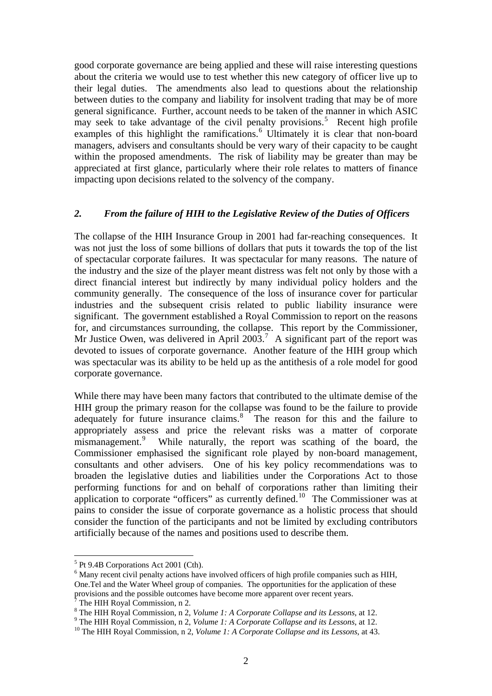good corporate governance are being applied and these will raise interesting questions about the criteria we would use to test whether this new category of officer live up to their legal duties. The amendments also lead to questions about the relationship between duties to the company and liability for insolvent trading that may be of more general significance. Further, account needs to be taken of the manner in which ASIC  $\frac{3}{2}$  may seek to take advantage of the civil penalty provisions.<sup>[5](#page-1-0)</sup> Recent high profile examples of this highlight the ramifications.<sup>[6](#page-1-1)</sup> Ultimately it is clear that non-board managers, advisers and consultants should be very wary of their capacity to be caught within the proposed amendments. The risk of liability may be greater than may be appreciated at first glance, particularly where their role relates to matters of finance impacting upon decisions related to the solvency of the company.

#### *2. From the failure of HIH to the Legislative Review of the Duties of Officers*

The collapse of the HIH Insurance Group in 2001 had far-reaching consequences. It was not just the loss of some billions of dollars that puts it towards the top of the list of spectacular corporate failures. It was spectacular for many reasons. The nature of the industry and the size of the player meant distress was felt not only by those with a direct financial interest but indirectly by many individual policy holders and the community generally. The consequence of the loss of insurance cover for particular industries and the subsequent crisis related to public liability insurance were significant. The government established a Royal Commission to report on the reasons for, and circumstances surrounding, the collapse. This report by the Commissioner, Mr Justice Owen, was delivered in April 2003.<sup>[7](#page-1-2)</sup> A significant part of the report was devoted to issues of corporate governance. Another feature of the HIH group which was spectacular was its ability to be held up as the antithesis of a role model for good corporate governance.

While there may have been many factors that contributed to the ultimate demise of the HIH group the primary reason for the collapse was found to be the failure to provide adequately for future insurance claims.<sup>[8](#page-1-3)</sup> The reason for this and the failure to appropriately assess and price the relevant risks was a matter of corporate mismanagement.<sup>[9](#page-1-4)</sup> While naturally, the report was scathing of the board, the Commissioner emphasised the significant role played by non-board management, consultants and other advisers. One of his key policy recommendations was to broaden the legislative duties and liabilities under the Corporations Act to those performing functions for and on behalf of corporations rather than limiting their application to corporate "officers" as currently defined.<sup>[10](#page-1-5)</sup> The Commissioner was at pains to consider the issue of corporate governance as a holistic process that should consider the function of the participants and not be limited by excluding contributors artificially because of the names and positions used to describe them.

<sup>5</sup> Pt 9.4B Corporations Act 2001 (Cth).

<span id="page-1-1"></span><span id="page-1-0"></span><sup>&</sup>lt;sup>6</sup> Many recent civil penalty actions have involved officers of high profile companies such as HIH, One.Tel and the Water Wheel group of companies. The opportunities for the application of these provisions and the possible outcomes have become more apparent over recent years. 7

<span id="page-1-2"></span>The HIH Royal Commission, n 2.

<sup>&</sup>lt;sup>8</sup> The HIH Royal Commission, n 2, *Volume 1: A Corporate Collapse and its Lessons*, at 12.

<span id="page-1-4"></span><span id="page-1-3"></span><sup>&</sup>lt;sup>9</sup> The HIH Royal Commission, n 2, *Volume 1: A Corporate Collapse and its Lessons*, at 12.<br><sup>10</sup> The HIH Royal Commission, n 2, *Volume 1: A Corporate Collapse and its Lessons*, at 43.

<span id="page-1-5"></span>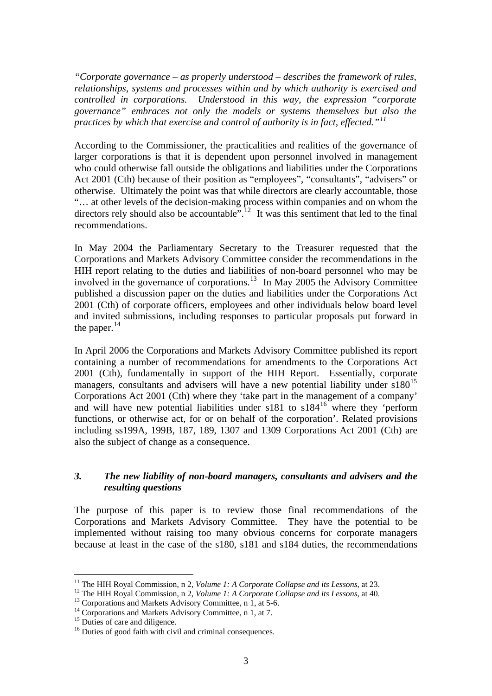*"Corporate governance – as properly understood – describes the framework of rules, relationships, systems and processes within and by which authority is exercised and controlled in corporations. Understood in this way, the expression "corporate governance" embraces not only the models or systems themselves but also the practices by which that exercise and control of authority is in fact, effected."[11](#page-2-0)*

According to the Commissioner, the practicalities and realities of the governance of larger corporations is that it is dependent upon personnel involved in management who could otherwise fall outside the obligations and liabilities under the Corporations Act 2001 (Cth) because of their position as "employees", "consultants", "advisers" or otherwise. Ultimately the point was that while directors are clearly accountable, those "… at other levels of the decision-making process within companies and on whom the directors rely should also be accountable.<sup>5, [12](#page-2-1)</sup> It was this sentiment that led to the final recommendations.

In May 2004 the Parliamentary Secretary to the Treasurer requested that the Corporations and Markets Advisory Committee consider the recommendations in the HIH report relating to the duties and liabilities of non-board personnel who may be involved in the governance of corporations.<sup>[13](#page-2-2)</sup> In May 2005 the Advisory Committee published a discussion paper on the duties and liabilities under the Corporations Act 2001 (Cth) of corporate officers, employees and other individuals below board level and invited submissions, including responses to particular proposals put forward in the paper. $^{14}$  $^{14}$  $^{14}$ 

In April 2006 the Corporations and Markets Advisory Committee published its report containing a number of recommendations for amendments to the Corporations Act 2001 (Cth), fundamentally in support of the HIH Report. Essentially, corporate managers, consultants and advisers will have a new potential liability under  $s180^{15}$  $s180^{15}$  $s180^{15}$ Corporations Act 2001 (Cth) where they 'take part in the management of a company' and will have new potential liabilities under  $s181$  to  $s184^{16}$  $s184^{16}$  $s184^{16}$  where they 'perform functions, or otherwise act, for or on behalf of the corporation'. Related provisions including ss199A, 199B, 187, 189, 1307 and 1309 Corporations Act 2001 (Cth) are also the subject of change as a consequence.

### *3. The new liability of non-board managers, consultants and advisers and the resulting questions*

The purpose of this paper is to review those final recommendations of the Corporations and Markets Advisory Committee. They have the potential to be implemented without raising too many obvious concerns for corporate managers because at least in the case of the s180, s181 and s184 duties, the recommendations

<span id="page-2-0"></span><sup>&</sup>lt;sup>11</sup> The HIH Royal Commission, n 2, Volume 1: A Corporate Collapse and its Lessons, at 23.

<span id="page-2-1"></span><sup>&</sup>lt;sup>12</sup> The HIH Royal Commission, n 2, *Volume 1: A Corporate Collapse and its Lessons*, at 40.<br><sup>13</sup> Corporations and Markets Advisory Committee, n 1, at 5-6.

<span id="page-2-2"></span><sup>&</sup>lt;sup>14</sup> Corporations and Markets Advisory Committee, n 1, at 7.

<span id="page-2-4"></span><span id="page-2-3"></span> $15$  Duties of care and diligence.

<span id="page-2-5"></span><sup>&</sup>lt;sup>16</sup> Duties of good faith with civil and criminal consequences.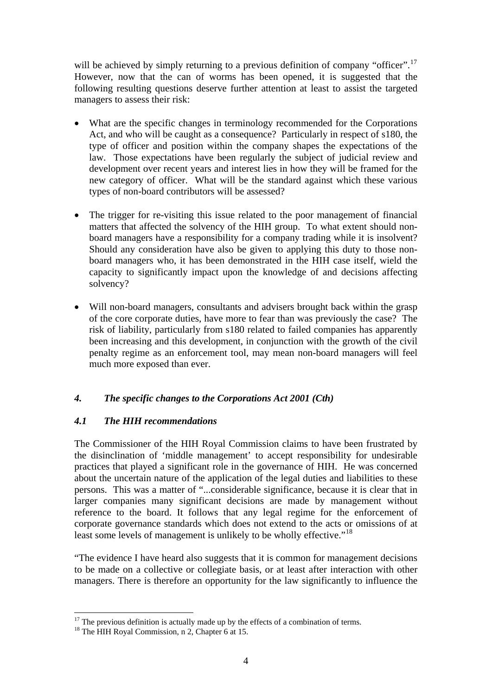will be achieved by simply returning to a previous definition of company "officer".<sup>[17](#page-3-0)</sup> However, now that the can of worms has been opened, it is suggested that the following resulting questions deserve further attention at least to assist the targeted managers to assess their risk:

- What are the specific changes in terminology recommended for the Corporations Act, and who will be caught as a consequence? Particularly in respect of s180, the type of officer and position within the company shapes the expectations of the law. Those expectations have been regularly the subject of judicial review and development over recent years and interest lies in how they will be framed for the new category of officer. What will be the standard against which these various types of non-board contributors will be assessed?
- The trigger for re-visiting this issue related to the poor management of financial matters that affected the solvency of the HIH group. To what extent should nonboard managers have a responsibility for a company trading while it is insolvent? Should any consideration have also be given to applying this duty to those nonboard managers who, it has been demonstrated in the HIH case itself, wield the capacity to significantly impact upon the knowledge of and decisions affecting solvency?
- Will non-board managers, consultants and advisers brought back within the grasp of the core corporate duties, have more to fear than was previously the case? The risk of liability, particularly from s180 related to failed companies has apparently been increasing and this development, in conjunction with the growth of the civil penalty regime as an enforcement tool, may mean non-board managers will feel much more exposed than ever.

### *4. The specific changes to the Corporations Act 2001 (Cth)*

### *4.1 The HIH recommendations*

The Commissioner of the HIH Royal Commission claims to have been frustrated by the disinclination of 'middle management' to accept responsibility for undesirable practices that played a significant role in the governance of HIH. He was concerned about the uncertain nature of the application of the legal duties and liabilities to these persons. This was a matter of "...considerable significance, because it is clear that in larger companies many significant decisions are made by management without reference to the board. It follows that any legal regime for the enforcement of corporate governance standards which does not extend to the acts or omissions of at least some levels of management is unlikely to be wholly effective."<sup>[18](#page-3-1)</sup>

"The evidence I have heard also suggests that it is common for management decisions to be made on a collective or collegiate basis, or at least after interaction with other managers. There is therefore an opportunity for the law significantly to influence the

<sup>&</sup>lt;u>.</u>  $17$  The previous definition is actually made up by the effects of a combination of terms.

<span id="page-3-1"></span><span id="page-3-0"></span><sup>&</sup>lt;sup>18</sup> The HIH Royal Commission, n 2, Chapter 6 at 15.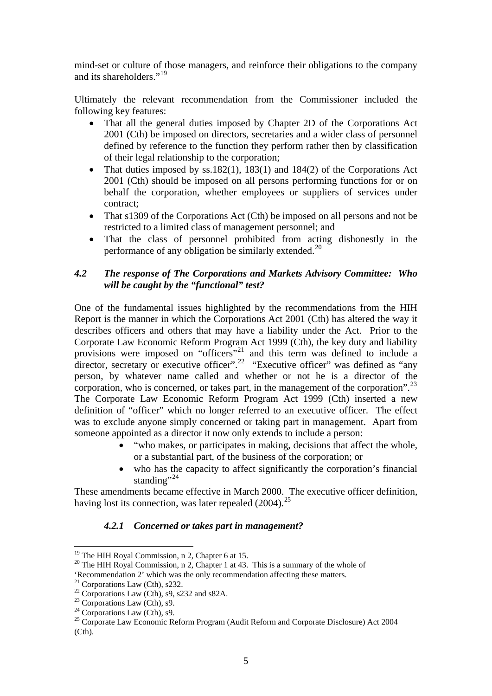mind-set or culture of those managers, and reinforce their obligations to the company and its shareholders."<sup>[19](#page-4-0)</sup>

Ultimately the relevant recommendation from the Commissioner included the following key features:

- That all the general duties imposed by Chapter 2D of the Corporations Act 2001 (Cth) be imposed on directors, secretaries and a wider class of personnel defined by reference to the function they perform rather then by classification of their legal relationship to the corporation;
- That duties imposed by ss.182(1), 183(1) and 184(2) of the Corporations Act 2001 (Cth) should be imposed on all persons performing functions for or on behalf the corporation, whether employees or suppliers of services under contract;
- That s1309 of the Corporations Act (Cth) be imposed on all persons and not be restricted to a limited class of management personnel; and
- That the class of personnel prohibited from acting dishonestly in the performance of any obligation be similarly extended.<sup>[20](#page-4-1)</sup>

### *4.2 The response of The Corporations and Markets Advisory Committee: Who will be caught by the "functional" test?*

One of the fundamental issues highlighted by the recommendations from the HIH Report is the manner in which the Corporations Act 2001 (Cth) has altered the way it describes officers and others that may have a liability under the Act. Prior to the Corporate Law Economic Reform Program Act 1999 (Cth), the key duty and liability provisions were imposed on "officers"<sup>[21](#page-4-2)</sup> and this term was defined to include a director, secretary or executive officer".<sup>[22](#page-4-3)</sup> "Executive officer" was defined as "any person, by whatever name called and whether or not he is a director of the corporation, who is concerned, or takes part, in the management of the corporation".  $^{23}$  $^{23}$  $^{23}$ The Corporate Law Economic Reform Program Act 1999 (Cth) inserted a new definition of "officer" which no longer referred to an executive officer. The effect was to exclude anyone simply concerned or taking part in management. Apart from someone appointed as a director it now only extends to include a person:

- "who makes, or participates in making, decisions that affect the whole, or a substantial part, of the business of the corporation; or
- who has the capacity to affect significantly the corporation's financial standing"<sup>[24](#page-4-5)</sup>

These amendments became effective in March 2000. The executive officer definition, having lost its connection, was later repealed  $(2004)$ <sup>[25](#page-4-6)</sup>

### *4.2.1 Concerned or takes part in management?*

<sup>&</sup>lt;sup>19</sup> The HIH Royal Commission, n 2, Chapter 6 at 15.

<span id="page-4-1"></span><span id="page-4-0"></span><sup>&</sup>lt;sup>20</sup> The HIH Royal Commission, n 2, Chapter 1 at 43. This is a summary of the whole of 'Recommendation 2' which was the only recommendation affecting these matters.

<span id="page-4-2"></span> $21$  Corporations Law (Cth), s232.

<span id="page-4-3"></span><sup>&</sup>lt;sup>22</sup> Corporations Law (Cth), s9, s232 and s82A.

<span id="page-4-4"></span> $23$  Corporations Law (Cth), s9.

<span id="page-4-5"></span> $24$  Corporations Law (Cth), s9.

<span id="page-4-6"></span><sup>&</sup>lt;sup>25</sup> Corporate Law Economic Reform Program (Audit Reform and Corporate Disclosure) Act 2004 (Cth).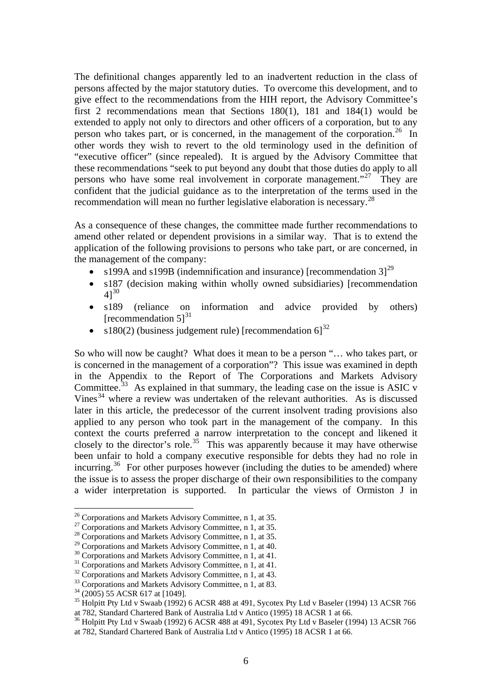The definitional changes apparently led to an inadvertent reduction in the class of persons affected by the major statutory duties. To overcome this development, and to give effect to the recommendations from the HIH report, the Advisory Committee's first 2 recommendations mean that Sections 180(1), 181 and 184(1) would be extended to apply not only to directors and other officers of a corporation, but to any person who takes part, or is concerned, in the management of the corporation.<sup>[26](#page-5-0)</sup> In other words they wish to revert to the old terminology used in the definition of "executive officer" (since repealed). It is argued by the Advisory Committee that these recommendations "seek to put beyond any doubt that those duties do apply to all persons who have some real involvement in corporate management."<sup>[27](#page-5-1)</sup> They are confident that the judicial guidance as to the interpretation of the terms used in the recommendation will mean no further legislative elaboration is necessary.<sup>[28](#page-5-2)</sup>

As a consequence of these changes, the committee made further recommendations to amend other related or dependent provisions in a similar way. That is to extend the application of the following provisions to persons who take part, or are concerned, in the management of the company:

- s199A and s199B (indemnification and insurance) [recommendation  $31^{29}$  $31^{29}$  $31^{29}$
- s187 (decision making within wholly owned subsidiaries) [recommendation  $41^{30}$  $41^{30}$  $41^{30}$
- s189 (reliance on information and advice provided by others) [recommendation  $5$ ]<sup>[31](#page-5-5)</sup>
- s180(2) (business judgement rule) [recommendation  $6$ ]<sup>[32](#page-5-6)</sup>

So who will now be caught? What does it mean to be a person "… who takes part, or is concerned in the management of a corporation"? This issue was examined in depth in the Appendix to the Report of The Corporations and Markets Advisory Committee.<sup>[33](#page-5-7)</sup> As explained in that summary, the leading case on the issue is ASIC v Vines $34$  where a review was undertaken of the relevant authorities. As is discussed later in this article, the predecessor of the current insolvent trading provisions also applied to any person who took part in the management of the company. In this context the courts preferred a narrow interpretation to the concept and likened it closely to the director's role.<sup>[35](#page-5-9)</sup> This was apparently because it may have otherwise been unfair to hold a company executive responsible for debts they had no role in incurring.<sup>[36](#page-5-10)</sup> For other purposes however (including the duties to be amended) where the issue is to assess the proper discharge of their own responsibilities to the company a wider interpretation is supported. In particular the views of Ormiston J in

<span id="page-5-1"></span><span id="page-5-0"></span><sup>&</sup>lt;sup>26</sup> Corporations and Markets Advisory Committee, n 1, at 35.<br><sup>27</sup> Corporations and Markets Advisory Committee, n 1, at 35.<br><sup>28</sup> Corporations and Markets Advisory Committee, n 1, at 40.

<span id="page-5-2"></span>

<span id="page-5-5"></span><span id="page-5-4"></span><span id="page-5-3"></span><sup>&</sup>lt;sup>30</sup> Corporations and Markets Advisory Committee, n 1, at 41.<br><sup>31</sup> Corporations and Markets Advisory Committee, n 1, at 41.<br><sup>32</sup> Corporations and Markets Advisory Committee, n 1, at 43.<br><sup>33</sup> Corporations and Markets Advis

<span id="page-5-6"></span>

<span id="page-5-7"></span>

<span id="page-5-9"></span><span id="page-5-8"></span><sup>&</sup>lt;sup>35</sup> Holpitt Pty Ltd v Swaab (1992) 6 ACSR 488 at 491, Sycotex Pty Ltd v Baseler (1994) 13 ACSR 766 at 782, Standard Chartered Bank of Australia Ltd v Antico (1995) 18 ACSR 1 at 66.

<span id="page-5-10"></span><sup>&</sup>lt;sup>36</sup> Holpitt Pty Ltd v Swaab (1992) 6 ACSR 488 at 491, Sycotex Pty Ltd v Baseler (1994) 13 ACSR 766 at 782, Standard Chartered Bank of Australia Ltd v Antico (1995) 18 ACSR 1 at 66.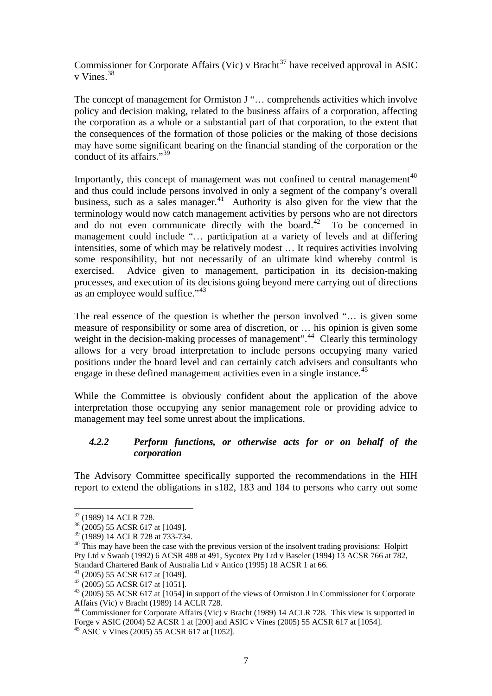Commissioner for Corporate Affairs (Vic) v Bracht<sup>[37](#page-6-0)</sup> have received approval in ASIC v Vines.<sup>[38](#page-6-1)</sup>

The concept of management for Ormiston J "... comprehends activities which involve policy and decision making, related to the business affairs of a corporation, affecting the corporation as a whole or a substantial part of that corporation, to the extent that the consequences of the formation of those policies or the making of those decisions may have some significant bearing on the financial standing of the corporation or the conduct of its affairs."<sup>[39](#page-6-2)</sup>

Importantly, this concept of management was not confined to central management $40$ and thus could include persons involved in only a segment of the company's overall business, such as a sales manager.<sup>[41](#page-6-4)</sup> Authority is also given for the view that the terminology would now catch management activities by persons who are not directors and do not even communicate directly with the board.<sup> $42$ </sup> To be concerned in management could include "… participation at a variety of levels and at differing intensities, some of which may be relatively modest … It requires activities involving some responsibility, but not necessarily of an ultimate kind whereby control is exercised. Advice given to management, participation in its decision-making processes, and execution of its decisions going beyond mere carrying out of directions as an employee would suffice."<sup>[43](#page-6-6)</sup>

The real essence of the question is whether the person involved "… is given some measure of responsibility or some area of discretion, or … his opinion is given some weight in the decision-making processes of management".<sup>[44](#page-6-7)</sup> Clearly this terminology allows for a very broad interpretation to include persons occupying many varied positions under the board level and can certainly catch advisers and consultants who engage in these defined management activities even in a single instance.<sup>[45](#page-6-8)</sup>

While the Committee is obviously confident about the application of the above interpretation those occupying any senior management role or providing advice to management may feel some unrest about the implications.

### *4.2.2 Perform functions, or otherwise acts for or on behalf of the corporation*

The Advisory Committee specifically supported the recommendations in the HIH report to extend the obligations in s182, 183 and 184 to persons who carry out some

 $37$  (1989) 14 ACLR 728.

<span id="page-6-1"></span><span id="page-6-0"></span><sup>38 (2005) 55</sup> ACSR 617 at [1049].

<span id="page-6-2"></span><sup>39 (1989) 14</sup> ACLR 728 at 733-734.

<span id="page-6-3"></span> $40$  This may have been the case with the previous version of the insolvent trading provisions: Holpitt Pty Ltd v Swaab (1992) 6 ACSR 488 at 491, Sycotex Pty Ltd v Baseler (1994) 13 ACSR 766 at 782, Standard Chartered Bank of Australia Ltd v Antico (1995) 18 ACSR 1 at 66.

 $41$  (2005) 55 ACSR 617 at [1049].

<span id="page-6-5"></span><span id="page-6-4"></span> $42$  (2005) 55 ACSR 617 at [1051].

<span id="page-6-6"></span><sup>&</sup>lt;sup>43</sup> (2005) 55 ACSR 617 at [1054] in support of the views of Ormiston J in Commissioner for Corporate Affairs (Vic) v Bracht (1989) 14 ACLR 728.

<span id="page-6-7"></span><sup>44</sup> Commissioner for Corporate Affairs (Vic) v Bracht (1989) 14 ACLR 728. This view is supported in Forge v ASIC (2004) 52 ACSR 1 at [200] and ASIC v Vines (2005) 55 ACSR 617 at [1054].

<span id="page-6-8"></span><sup>45</sup> ASIC v Vines (2005) 55 ACSR 617 at [1052].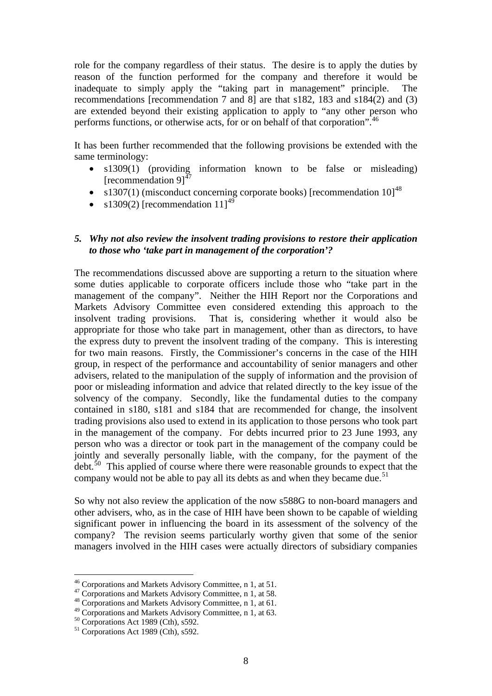role for the company regardless of their status. The desire is to apply the duties by reason of the function performed for the company and therefore it would be inadequate to simply apply the "taking part in management" principle. The recommendations [recommendation 7 and 8] are that s182, 183 and s184(2) and (3) are extended beyond their existing application to apply to "any other person who performs functions, or otherwise acts, for or on behalf of that corporation".<sup>[46](#page-7-0)</sup>

It has been further recommended that the following provisions be extended with the same terminology:

- s1309(1) (providing information known to be false or misleading) [recommendation  $91^{47}$  $91^{47}$  $91^{47}$ ]
- s1307(1) (misconduct concerning corporate books) [recommendation  $101^{48}$  $101^{48}$  $101^{48}$
- s1309(2) [recommendation  $11^{49}$  $11^{49}$  $11^{49}$

#### *5. Why not also review the insolvent trading provisions to restore their application to those who 'take part in management of the corporation'?*

The recommendations discussed above are supporting a return to the situation where some duties applicable to corporate officers include those who "take part in the management of the company". Neither the HIH Report nor the Corporations and Markets Advisory Committee even considered extending this approach to the insolvent trading provisions. That is, considering whether it would also be appropriate for those who take part in management, other than as directors, to have the express duty to prevent the insolvent trading of the company. This is interesting for two main reasons. Firstly, the Commissioner's concerns in the case of the HIH group, in respect of the performance and accountability of senior managers and other advisers, related to the manipulation of the supply of information and the provision of poor or misleading information and advice that related directly to the key issue of the solvency of the company. Secondly, like the fundamental duties to the company contained in s180, s181 and s184 that are recommended for change, the insolvent trading provisions also used to extend in its application to those persons who took part in the management of the company. For debts incurred prior to 23 June 1993, any person who was a director or took part in the management of the company could be jointly and severally personally liable, with the company, for the payment of the  $\det$ <sup>[50](#page-7-4)</sup>. This applied of course where there were reasonable grounds to expect that the company would not be able to pay all its debts as and when they became due.<sup>[51](#page-7-5)</sup>

So why not also review the application of the now s588G to non-board managers and other advisers, who, as in the case of HIH have been shown to be capable of wielding significant power in influencing the board in its assessment of the solvency of the company? The revision seems particularly worthy given that some of the senior managers involved in the HIH cases were actually directors of subsidiary companies

<span id="page-7-0"></span><sup>&</sup>lt;sup>46</sup> Corporations and Markets Advisory Committee, n 1, at 51.

<span id="page-7-1"></span><sup>&</sup>lt;sup>47</sup> Corporations and Markets Advisory Committee, n 1, at 58.  $48$  Corporations and Markets Advisory Committee, n 1, at 61.

<span id="page-7-3"></span><span id="page-7-2"></span><sup>&</sup>lt;sup>49</sup> Corporations and Markets Advisory Committee, n 1, at 63.  $50$  Corporations Act 1989 (Cth), s592.

<span id="page-7-5"></span><span id="page-7-4"></span> $51$  Corporations Act 1989 (Cth), s592.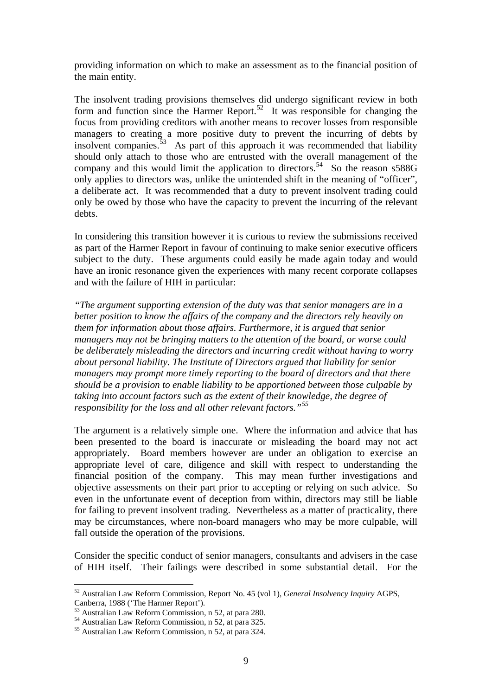providing information on which to make an assessment as to the financial position of the main entity.

The insolvent trading provisions themselves did undergo significant review in both form and function since the Harmer Report.<sup>[52](#page-8-0)</sup> It was responsible for changing the focus from providing creditors with another means to recover losses from responsible managers to creating a more positive duty to prevent the incurring of debts by insolvent companies. $53$  As part of this approach it was recommended that liability should only attach to those who are entrusted with the overall management of the company and this would limit the application to directors.<sup>[54](#page-8-2)</sup> So the reason  $s588G$ only applies to directors was, unlike the unintended shift in the meaning of "officer", a deliberate act. It was recommended that a duty to prevent insolvent trading could only be owed by those who have the capacity to prevent the incurring of the relevant debts.

In considering this transition however it is curious to review the submissions received as part of the Harmer Report in favour of continuing to make senior executive officers subject to the duty. These arguments could easily be made again today and would have an ironic resonance given the experiences with many recent corporate collapses and with the failure of HIH in particular:

*"The argument supporting extension of the duty was that senior managers are in a better position to know the affairs of the company and the directors rely heavily on them for information about those affairs. Furthermore, it is argued that senior managers may not be bringing matters to the attention of the board, or worse could be deliberately misleading the directors and incurring credit without having to worry about personal liability. The Institute of Directors argued that liability for senior managers may prompt more timely reporting to the board of directors and that there should be a provision to enable liability to be apportioned between those culpable by taking into account factors such as the extent of their knowledge, the degree of responsibility for the loss and all other relevant factors."[55](#page-8-3)*

The argument is a relatively simple one. Where the information and advice that has been presented to the board is inaccurate or misleading the board may not act appropriately. Board members however are under an obligation to exercise an appropriate level of care, diligence and skill with respect to understanding the financial position of the company. This may mean further investigations and objective assessments on their part prior to accepting or relying on such advice. So even in the unfortunate event of deception from within, directors may still be liable for failing to prevent insolvent trading. Nevertheless as a matter of practicality, there may be circumstances, where non-board managers who may be more culpable, will fall outside the operation of the provisions.

Consider the specific conduct of senior managers, consultants and advisers in the case of HIH itself. Their failings were described in some substantial detail. For the

<span id="page-8-0"></span><sup>52</sup> Australian Law Reform Commission, Report No. 45 (vol 1), *General Insolvency Inquiry* AGPS, Canberra, 1988 ('The Harmer Report').

<sup>53</sup> Australian Law Reform Commission, n 52, at para 280.

<span id="page-8-2"></span><span id="page-8-1"></span><sup>54</sup> Australian Law Reform Commission, n 52, at para 325.

<span id="page-8-3"></span><sup>55</sup> Australian Law Reform Commission, n 52, at para 324.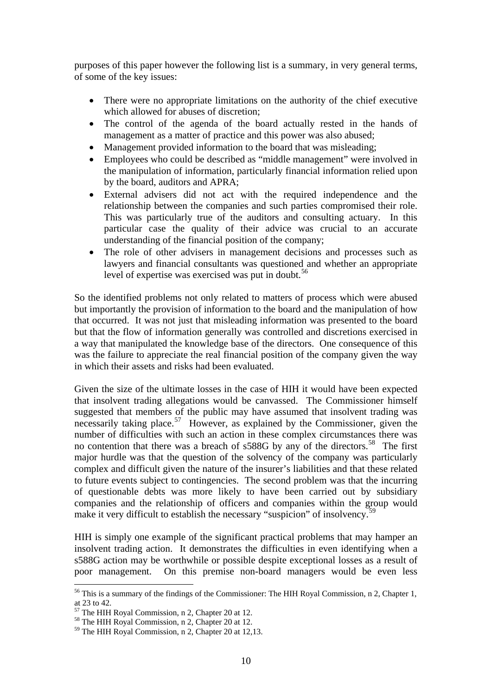purposes of this paper however the following list is a summary, in very general terms, of some of the key issues:

- There were no appropriate limitations on the authority of the chief executive which allowed for abuses of discretion;
- The control of the agenda of the board actually rested in the hands of management as a matter of practice and this power was also abused;
- Management provided information to the board that was misleading;
- Employees who could be described as "middle management" were involved in the manipulation of information, particularly financial information relied upon by the board, auditors and APRA;
- External advisers did not act with the required independence and the relationship between the companies and such parties compromised their role. This was particularly true of the auditors and consulting actuary. In this particular case the quality of their advice was crucial to an accurate understanding of the financial position of the company;
- The role of other advisers in management decisions and processes such as lawyers and financial consultants was questioned and whether an appropriate level of expertise was exercised was put in doubt.<sup>[56](#page-9-0)</sup>

So the identified problems not only related to matters of process which were abused but importantly the provision of information to the board and the manipulation of how that occurred. It was not just that misleading information was presented to the board but that the flow of information generally was controlled and discretions exercised in a way that manipulated the knowledge base of the directors. One consequence of this was the failure to appreciate the real financial position of the company given the way in which their assets and risks had been evaluated.

Given the size of the ultimate losses in the case of HIH it would have been expected that insolvent trading allegations would be canvassed. The Commissioner himself suggested that members of the public may have assumed that insolvent trading was necessarily taking place.<sup>[57](#page-9-1)</sup> However, as explained by the Commissioner, given the number of difficulties with such an action in these complex circumstances there was no contention that there was a breach of  $s588G$  $s588G$  $s588G$  by any of the directors.<sup>58</sup> The first major hurdle was that the question of the solvency of the company was particularly complex and difficult given the nature of the insurer's liabilities and that these related to future events subject to contingencies. The second problem was that the incurring of questionable debts was more likely to have been carried out by subsidiary companies and the relationship of officers and companies within the group would make it very difficult to establish the necessary "suspicion" of insolvency.<sup>[59](#page-9-3)</sup>

HIH is simply one example of the significant practical problems that may hamper an insolvent trading action. It demonstrates the difficulties in even identifying when a s588G action may be worthwhile or possible despite exceptional losses as a result of poor management. On this premise non-board managers would be even less

<span id="page-9-0"></span><sup>&</sup>lt;sup>56</sup> This is a summary of the findings of the Commissioner: The HIH Royal Commission, n 2, Chapter 1, at 23 to 42.

The HIH Royal Commission, n 2, Chapter 20 at 12.

<span id="page-9-2"></span><span id="page-9-1"></span> $58$  The HIH Royal Commission, n 2, Chapter 20 at 12.

<span id="page-9-3"></span><sup>59</sup> The HIH Royal Commission, n 2, Chapter 20 at 12,13.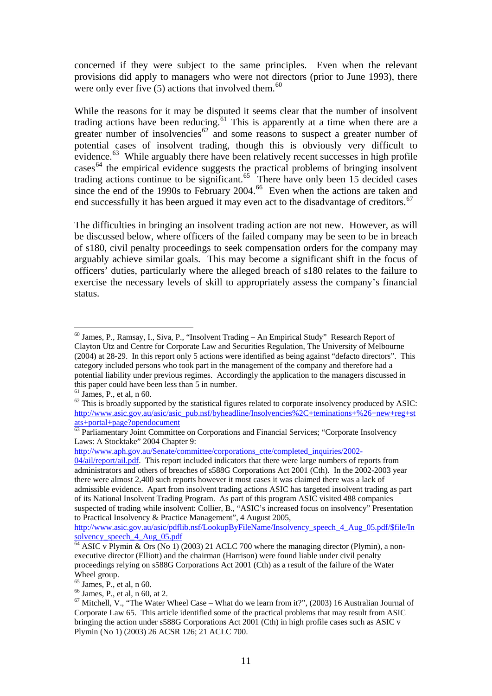concerned if they were subject to the same principles. Even when the relevant provisions did apply to managers who were not directors (prior to June 1993), there were only ever five  $(5)$  actions that involved them.<sup>[60](#page-10-0)</sup>

While the reasons for it may be disputed it seems clear that the number of insolvent trading actions have been reducing.<sup>[61](#page-10-1)</sup> This is apparently at a time when there are a greater number of insolvencies<sup>[62](#page-10-2)</sup> and some reasons to suspect a greater number of potential cases of insolvent trading, though this is obviously very difficult to evidence.<sup>[63](#page-10-3)</sup> While arguably there have been relatively recent successes in high profile cases<sup>[64](#page-10-4)</sup> the empirical evidence suggests the practical problems of bringing insolvent trading actions continue to be significant.<sup>[65](#page-10-5)</sup> There have only been 15 decided cases since the end of the 1990s to February 2004.<sup>[66](#page-10-6)</sup> Even when the actions are taken and end successfully it has been argued it may even act to the disadvantage of creditors.<sup>[67](#page-10-7)</sup>

The difficulties in bringing an insolvent trading action are not new. However, as will be discussed below, where officers of the failed company may be seen to be in breach of s180, civil penalty proceedings to seek compensation orders for the company may arguably achieve similar goals. This may become a significant shift in the focus of officers' duties, particularly where the alleged breach of s180 relates to the failure to exercise the necessary levels of skill to appropriately assess the company's financial status.

[http://www.aph.gov.au/Senate/committee/corporations\\_ctte/completed\\_inquiries/2002-](http://www.aph.gov.au/Senate/committee/corporations_ctte/completed_inquiries/2002-04/ail/report/ail.pdf)

<span id="page-10-0"></span><sup>&</sup>lt;u>.</u>  $60$  James, P., Ramsay, I., Siva, P., "Insolvent Trading – An Empirical Study" Research Report of Clayton Utz and Centre for Corporate Law and Securities Regulation, The University of Melbourne (2004) at 28-29. In this report only 5 actions were identified as being against "defacto directors". This category included persons who took part in the management of the company and therefore had a potential liability under previous regimes. Accordingly the application to the managers discussed in this paper could have been less than 5 in number.

<span id="page-10-1"></span> $61$  James, P., et al, n 60.

<span id="page-10-2"></span> $62$  This is broadly supported by the statistical figures related to corporate insolvency produced by ASIC: [http://www.asic.gov.au/asic/asic\\_pub.nsf/byheadline/Insolvencies%2C+teminations+%26+new+reg+st](http://www.asic.gov.au/asic/asic_pub.nsf/byheadline/Insolvencies%2C+teminations+%26+new+reg+stats+portal+page?opendocument) [ats+portal+page?opendocument](http://www.asic.gov.au/asic/asic_pub.nsf/byheadline/Insolvencies%2C+teminations+%26+new+reg+stats+portal+page?opendocument)

<span id="page-10-3"></span><sup>&</sup>lt;sup>63</sup> Parliamentary Joint Committee on Corporations and Financial Services; "Corporate Insolvency Laws: A Stocktake" 2004 Chapter 9:

[<sup>04/</sup>ail/report/ail.pdf](http://www.aph.gov.au/Senate/committee/corporations_ctte/completed_inquiries/2002-04/ail/report/ail.pdf). This report included indicators that there were large numbers of reports from administrators and others of breaches of s588G Corporations Act 2001 (Cth). In the 2002-2003 year there were almost 2,400 such reports however it most cases it was claimed there was a lack of admissible evidence. Apart from insolvent trading actions ASIC has targeted insolvent trading as part of its National Insolvent Trading Program. As part of this program ASIC visited 488 companies suspected of trading while insolvent: Collier, B., "ASIC's increased focus on insolvency" Presentation to Practical Insolvency & Practice Management", 4 August 2005,

[http://www.asic.gov.au/asic/pdflib.nsf/LookupByFileName/Insolvency\\_speech\\_4\\_Aug\\_05.pdf/\\$file/In](http://www.asic.gov.au/asic/pdflib.nsf/LookupByFileName/Insolvency_speech_4_Aug_05.pdf/$file/Insolvency_speech_4_Aug_05.pdf) solvency speech 4 Aug 05.pdf

<span id="page-10-4"></span> $64$  ASIC v Plymin & Ors (No 1) (2003) 21 ACLC 700 where the managing director (Plymin), a nonexecutive director (Elliott) and the chairman (Harrison) were found liable under civil penalty proceedings relying on s588G Corporations Act 2001 (Cth) as a result of the failure of the Water Wheel group.

<span id="page-10-5"></span> $65$  James, P., et al, n 60.

<span id="page-10-6"></span> $66$  James, P., et al, n 60, at 2.

<span id="page-10-7"></span> $67$  Mitchell, V., "The Water Wheel Case – What do we learn from it?", (2003) 16 Australian Journal of Corporate Law 65. This article identified some of the practical problems that may result from ASIC bringing the action under s588G Corporations Act 2001 (Cth) in high profile cases such as ASIC v Plymin (No 1) (2003) 26 ACSR 126; 21 ACLC 700.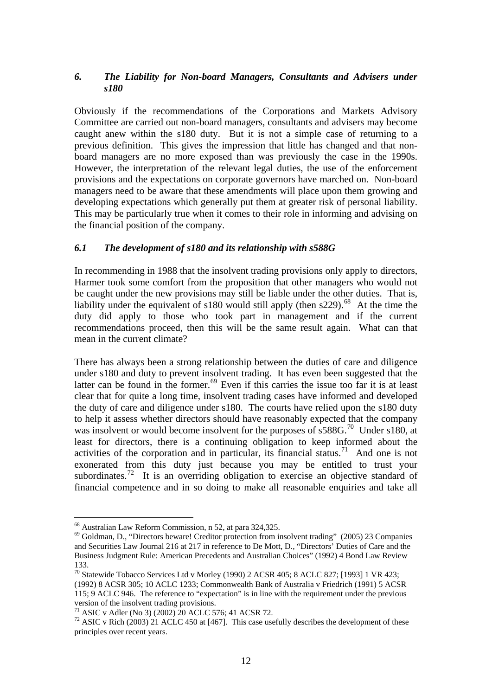### *6. The Liability for Non-board Managers, Consultants and Advisers under s180*

Obviously if the recommendations of the Corporations and Markets Advisory Committee are carried out non-board managers, consultants and advisers may become caught anew within the s180 duty. But it is not a simple case of returning to a previous definition. This gives the impression that little has changed and that nonboard managers are no more exposed than was previously the case in the 1990s. However, the interpretation of the relevant legal duties, the use of the enforcement provisions and the expectations on corporate governors have marched on. Non-board managers need to be aware that these amendments will place upon them growing and developing expectations which generally put them at greater risk of personal liability. This may be particularly true when it comes to their role in informing and advising on the financial position of the company.

### *6.1 The development of s180 and its relationship with s588G*

In recommending in 1988 that the insolvent trading provisions only apply to directors, Harmer took some comfort from the proposition that other managers who would not be caught under the new provisions may still be liable under the other duties. That is, liability under the equivalent of s180 would still apply (then s229).<sup>[68](#page-11-0)</sup> At the time the duty did apply to those who took part in management and if the current recommendations proceed, then this will be the same result again. What can that mean in the current climate?

There has always been a strong relationship between the duties of care and diligence under s180 and duty to prevent insolvent trading. It has even been suggested that the latter can be found in the former.<sup>[69](#page-11-1)</sup> Even if this carries the issue too far it is at least clear that for quite a long time, insolvent trading cases have informed and developed the duty of care and diligence under s180. The courts have relied upon the s180 duty to help it assess whether directors should have reasonably expected that the company was insolvent or would become insolvent for the purposes of s588G.<sup>[70](#page-11-2)</sup> Under s180, at least for directors, there is a continuing obligation to keep informed about the activities of the corporation and in particular, its financial status.<sup>[71](#page-11-3)</sup> And one is not exonerated from this duty just because you may be entitled to trust your subordinates.<sup>[72](#page-11-4)</sup> It is an overriding obligation to exercise an objective standard of financial competence and in so doing to make all reasonable enquiries and take all

<span id="page-11-0"></span><sup>68</sup> Australian Law Reform Commission, n 52, at para 324,325.

<span id="page-11-1"></span><sup>69</sup> Goldman, D., "Directors beware! Creditor protection from insolvent trading" (2005) 23 Companies and Securities Law Journal 216 at 217 in reference to De Mott, D., "Directors' Duties of Care and the Business Judgment Rule: American Precedents and Australian Choices" (1992) 4 Bond Law Review 133.

<span id="page-11-2"></span><sup>70</sup> Statewide Tobacco Services Ltd v Morley (1990) 2 ACSR 405; 8 ACLC 827; [1993] 1 VR 423; (1992) 8 ACSR 305; 10 ACLC 1233; Commonwealth Bank of Australia v Friedrich (1991) 5 ACSR 115; 9 ACLC 946. The reference to "expectation" is in line with the requirement under the previous version of the insolvent trading provisions.

<sup>71</sup> ASIC v Adler (No 3) (2002) 20 ACLC 576; 41 ACSR 72.

<span id="page-11-4"></span><span id="page-11-3"></span> $72$  ASIC v Rich (2003) 21 ACLC 450 at [467]. This case usefully describes the development of these principles over recent years.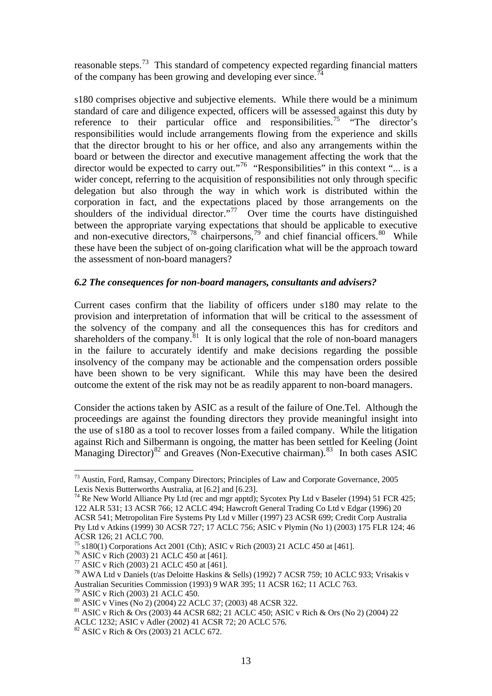reasonable steps.[73](#page-12-0) This standard of competency expected regarding financial matters of the company has been growing and developing ever since.<sup>[74](#page-12-1)</sup>

s180 comprises objective and subjective elements. While there would be a minimum standard of care and diligence expected, officers will be assessed against this duty by reference to their particular office and responsibilities.<sup>[75](#page-12-2)</sup> "The director's responsibilities would include arrangements flowing from the experience and skills that the director brought to his or her office, and also any arrangements within the board or between the director and executive management affecting the work that the director would be expected to carry out."<sup>[76](#page-12-3)</sup> "Responsibilities" in this context "... is a wider concept, referring to the acquisition of responsibilities not only through specific delegation but also through the way in which work is distributed within the corporation in fact, and the expectations placed by those arrangements on the shoulders of the individual director."<sup>[77](#page-12-4)</sup> Over time the courts have distinguished between the appropriate varying expectations that should be applicable to executive and non-executive directors,  $78$  chairpersons,  $79$  and chief financial officers.  $80$  While these have been the subject of on-going clarification what will be the approach toward the assessment of non-board managers?

#### *6.2 The consequences for non-board managers, consultants and advisers?*

Current cases confirm that the liability of officers under s180 may relate to the provision and interpretation of information that will be critical to the assessment of the solvency of the company and all the consequences this has for creditors and shareholders of the company.<sup>[81](#page-12-8)</sup> It is only logical that the role of non-board managers in the failure to accurately identify and make decisions regarding the possible insolvency of the company may be actionable and the compensation orders possible have been shown to be very significant. While this may have been the desired outcome the extent of the risk may not be as readily apparent to non-board managers.

Consider the actions taken by ASIC as a result of the failure of One.Tel. Although the proceedings are against the founding directors they provide meaningful insight into the use of s180 as a tool to recover losses from a failed company. While the litigation against Rich and Silbermann is ongoing, the matter has been settled for Keeling (Joint Managing Director)<sup>[82](#page-12-9)</sup> and Greaves (Non-Executive chairman).<sup>[83](#page-12-10)</sup> In both cases ASIC

<span id="page-12-0"></span><sup>73</sup> Austin, Ford, Ramsay, Company Directors; Principles of Law and Corporate Governance, 2005 Lexis Nexis Butterworths Australia, at [6.2] and [6.23].

<span id="page-12-10"></span><span id="page-12-1"></span> $74$  Re New World Alliance Pty Ltd (rec and mgr apptd); Sycotex Pty Ltd v Baseler (1994) 51 FCR 425; 122 ALR 531; 13 ACSR 766; 12 ACLC 494; Hawcroft General Trading Co Ltd v Edgar (1996) 20 ACSR 541; Metropolitan Fire Systems Pty Ltd v Miller (1997) 23 ACSR 699; Credit Corp Australia Pty Ltd v Atkins (1999) 30 ACSR 727; 17 ACLC 756; ASIC v Plymin (No 1) (2003) 175 FLR 124; 46 ACSR 126; 21 ACLC 700.

 $^{75}$  s180(1) Corporations Act 2001 (Cth); ASIC v Rich (2003) 21 ACLC 450 at [461].

<span id="page-12-3"></span><span id="page-12-2"></span><sup>76</sup> ASIC v Rich (2003) 21 ACLC 450 at [461].

<span id="page-12-4"></span><sup>77</sup> ASIC v Rich (2003) 21 ACLC 450 at [461].

<span id="page-12-5"></span><sup>78</sup> AWA Ltd v Daniels (t/as Deloitte Haskins & Sells) (1992) 7 ACSR 759; 10 ACLC 933; Vrisakis v Australian Securities Commission (1993) 9 WAR 395; 11 ACSR 162; 11 ACLC 763.

ASIC v Rich (2003) 21 ACLC 450.

<span id="page-12-7"></span><span id="page-12-6"></span><sup>80</sup> ASIC v Vines (No 2) (2004) 22 ACLC 37; (2003) 48 ACSR 322.

<span id="page-12-8"></span><sup>81</sup> ASIC v Rich & Ors (2003) 44 ACSR 682; 21 ACLC 450; ASIC v Rich & Ors (No 2) (2004) 22 ACLC 1232; ASIC v Adler (2002) 41 ACSR 72; 20 ACLC 576.

<span id="page-12-9"></span><sup>82</sup> ASIC v Rich & Ors (2003) 21 ACLC 672.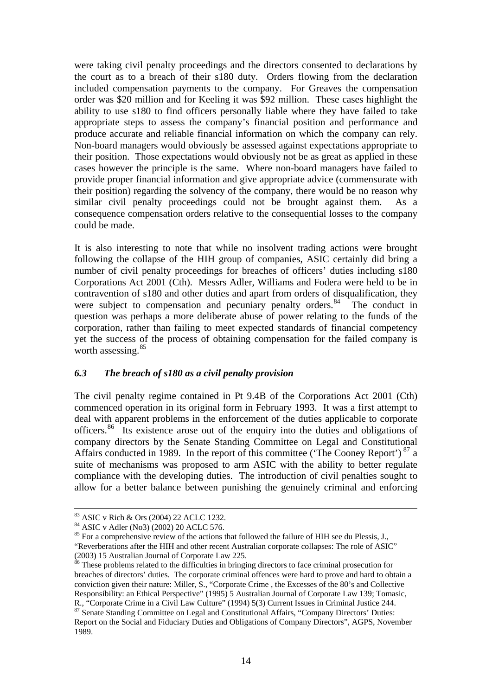were taking civil penalty proceedings and the directors consented to declarations by the court as to a breach of their s180 duty. Orders flowing from the declaration included compensation payments to the company. For Greaves the compensation order was \$20 million and for Keeling it was \$92 million. These cases highlight the ability to use s180 to find officers personally liable where they have failed to take appropriate steps to assess the company's financial position and performance and produce accurate and reliable financial information on which the company can rely. Non-board managers would obviously be assessed against expectations appropriate to their position. Those expectations would obviously not be as great as applied in these cases however the principle is the same. Where non-board managers have failed to provide proper financial information and give appropriate advice (commensurate with their position) regarding the solvency of the company, there would be no reason why similar civil penalty proceedings could not be brought against them. As a consequence compensation orders relative to the consequential losses to the company could be made.

It is also interesting to note that while no insolvent trading actions were brought following the collapse of the HIH group of companies, ASIC certainly did bring a number of civil penalty proceedings for breaches of officers' duties including s180 Corporations Act 2001 (Cth). Messrs Adler, Williams and Fodera were held to be in contravention of s180 and other duties and apart from orders of disqualification, they were subject to compensation and pecuniary penalty orders. $84$  The conduct in question was perhaps a more deliberate abuse of power relating to the funds of the corporation, rather than failing to meet expected standards of financial competency yet the success of the process of obtaining compensation for the failed company is worth assessing.<sup>[85](#page-13-1)</sup>

#### *6.3 The breach of s180 as a civil penalty provision*

The civil penalty regime contained in Pt 9.4B of the Corporations Act 2001 (Cth) commenced operation in its original form in February 1993. It was a first attempt to deal with apparent problems in the enforcement of the duties applicable to corporate officers.[86](#page-13-2) Its existence arose out of the enquiry into the duties and obligations of company directors by the Senate Standing Committee on Legal and Constitutional Affairs conducted in 1989. In the report of this committee ('The Cooney Report')<sup>[87](#page-13-3)</sup> a suite of mechanisms was proposed to arm ASIC with the ability to better regulate compliance with the developing duties. The introduction of civil penalties sought to allow for a better balance between punishing the genuinely criminal and enforcing

 <sup>83</sup> ASIC v Rich & Ors (2004) 22 ACLC 1232.

<span id="page-13-0"></span><sup>84</sup> ASIC v Adler (No3) (2002) 20 ACLC 576.

<span id="page-13-1"></span><sup>&</sup>lt;sup>85</sup> For a comprehensive review of the actions that followed the failure of HIH see du Plessis, J., "Reverberations after the HIH and other recent Australian corporate collapses: The role of ASIC" (2003) 15 Australian Journal of Corporate Law 225.

<span id="page-13-2"></span> $86$  These problems related to the difficulties in bringing directors to face criminal prosecution for breaches of directors' duties. The corporate criminal offences were hard to prove and hard to obtain a conviction given their nature: Miller, S., "Corporate Crime , the Excesses of the 80's and Collective Responsibility: an Ethical Perspective" (1995) 5 Australian Journal of Corporate Law 139; Tomasic, R., "Corporate Crime in a Civil Law Culture" (1994) 5(3) Current Issues in Criminal Justice 244.

<span id="page-13-3"></span><sup>87</sup> Senate Standing Committee on Legal and Constitutional Affairs, "Company Directors' Duties: Report on the Social and Fiduciary Duties and Obligations of Company Directors", AGPS, November 1989.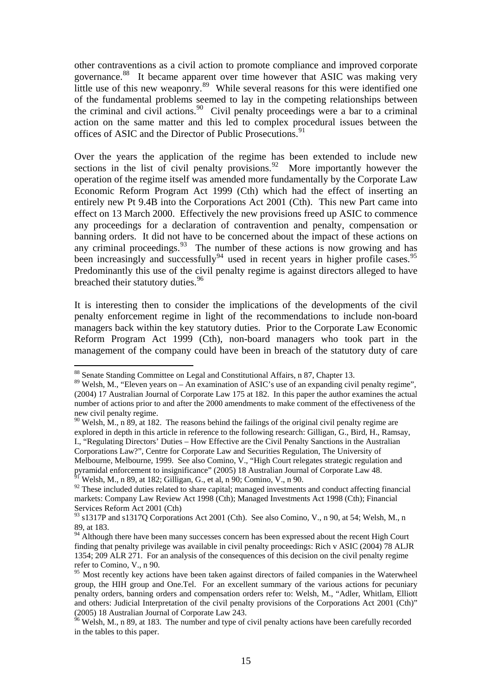other contraventions as a civil action to promote compliance and improved corporate governance.<sup>[88](#page-14-0)</sup> It became apparent over time however that ASIC was making very little use of this new weaponry.<sup>[89](#page-14-1)</sup> While several reasons for this were identified one of the fundamental problems seemed to lay in the competing relationships between the criminal and civil actions.<sup>[90](#page-14-2)</sup> Civil penalty proceedings were a bar to a criminal action on the same matter and this led to complex procedural issues between the offices of ASIC and the Director of Public Prosecutions.<sup>[91](#page-14-3)</sup>

Over the years the application of the regime has been extended to include new sections in the list of civil penalty provisions.<sup>[92](#page-14-4)</sup> More importantly however the operation of the regime itself was amended more fundamentally by the Corporate Law Economic Reform Program Act 1999 (Cth) which had the effect of inserting an entirely new Pt 9.4B into the Corporations Act 2001 (Cth). This new Part came into effect on 13 March 2000. Effectively the new provisions freed up ASIC to commence any proceedings for a declaration of contravention and penalty, compensation or banning orders. It did not have to be concerned about the impact of these actions on any criminal proceedings.<sup>[93](#page-14-5)</sup> The number of these actions is now growing and has been increasingly and successfully  $94$  used in recent years in higher profile cases.  $95$ Predominantly this use of the civil penalty regime is against directors alleged to have breached their statutory duties.<sup>[96](#page-14-8)</sup>

It is interesting then to consider the implications of the developments of the civil penalty enforcement regime in light of the recommendations to include non-board managers back within the key statutory duties. Prior to the Corporate Law Economic Reform Program Act 1999 (Cth), non-board managers who took part in the management of the company could have been in breach of the statutory duty of care

<sup>&</sup>lt;sup>88</sup> Senate Standing Committee on Legal and Constitutional Affairs, n 87, Chapter 13.

<span id="page-14-1"></span><span id="page-14-0"></span> $89$  Welsh, M., "Eleven years on – An examination of ASIC's use of an expanding civil penalty regime", (2004) 17 Australian Journal of Corporate Law 175 at 182. In this paper the author examines the actual number of actions prior to and after the 2000 amendments to make comment of the effectiveness of the new civil penalty regime.

<span id="page-14-2"></span><sup>&</sup>lt;sup>90</sup> Welsh, M., n 89, at 182. The reasons behind the failings of the original civil penalty regime are explored in depth in this article in reference to the following research: Gilligan, G., Bird, H., Ramsay, I., "Regulating Directors' Duties – How Effective are the Civil Penalty Sanctions in the Australian Corporations Law?", Centre for Corporate Law and Securities Regulation, The University of Melbourne, Melbourne, 1999. See also Comino, V., "High Court relegates strategic regulation and pyramidal enforcement to insignificance" (2005) 18 Australian Journal of Corporate Law 48.  $^{91}$  Welsh, M., n 89, at 182; Gilligan, G., et al, n 90; Comino, V., n 90.

<span id="page-14-4"></span><span id="page-14-3"></span><sup>&</sup>lt;sup>92</sup> These included duties related to share capital; managed investments and conduct affecting financial markets: Company Law Review Act 1998 (Cth); Managed Investments Act 1998 (Cth); Financial Services Reform Act 2001 (Cth)

<span id="page-14-5"></span><sup>93</sup> s1317P and s1317Q Corporations Act 2001 (Cth). See also Comino, V., n 90, at 54; Welsh, M., n 89, at 183.

<span id="page-14-6"></span><sup>&</sup>lt;sup>94</sup> Although there have been many successes concern has been expressed about the recent High Court finding that penalty privilege was available in civil penalty proceedings: Rich v ASIC (2004) 78 ALJR 1354; 209 ALR 271. For an analysis of the consequences of this decision on the civil penalty regime refer to Comino, V., n 90.

<span id="page-14-7"></span><sup>&</sup>lt;sup>95</sup> Most recently key actions have been taken against directors of failed companies in the Waterwheel group, the HIH group and One.Tel. For an excellent summary of the various actions for pecuniary penalty orders, banning orders and compensation orders refer to: Welsh, M., "Adler, Whitlam, Elliott and others: Judicial Interpretation of the civil penalty provisions of the Corporations Act 2001 (Cth)" (2005) 18 Australian Journal of Corporate Law 243.

<span id="page-14-8"></span> $96$  Welsh, M., n 89, at 183. The number and type of civil penalty actions have been carefully recorded in the tables to this paper.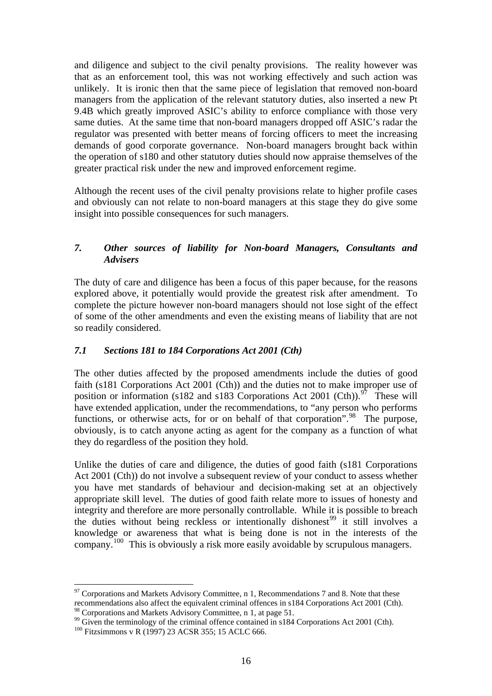and diligence and subject to the civil penalty provisions. The reality however was that as an enforcement tool, this was not working effectively and such action was unlikely. It is ironic then that the same piece of legislation that removed non-board managers from the application of the relevant statutory duties, also inserted a new Pt 9.4B which greatly improved ASIC's ability to enforce compliance with those very same duties. At the same time that non-board managers dropped off ASIC's radar the regulator was presented with better means of forcing officers to meet the increasing demands of good corporate governance. Non-board managers brought back within the operation of s180 and other statutory duties should now appraise themselves of the greater practical risk under the new and improved enforcement regime.

Although the recent uses of the civil penalty provisions relate to higher profile cases and obviously can not relate to non-board managers at this stage they do give some insight into possible consequences for such managers.

### *7. Other sources of liability for Non-board Managers, Consultants and Advisers*

The duty of care and diligence has been a focus of this paper because, for the reasons explored above, it potentially would provide the greatest risk after amendment. To complete the picture however non-board managers should not lose sight of the effect of some of the other amendments and even the existing means of liability that are not so readily considered.

### *7.1 Sections 181 to 184 Corporations Act 2001 (Cth)*

The other duties affected by the proposed amendments include the duties of good faith (s181 Corporations Act 2001 (Cth)) and the duties not to make improper use of position or information (s182 and s183 Corporations Act 2001 (Cth)).<sup>[97](#page-15-0)</sup> These will have extended application, under the recommendations, to "any person who performs functions, or otherwise acts, for or on behalf of that corporation". <sup>[98](#page-15-1)</sup> The purpose, obviously, is to catch anyone acting as agent for the company as a function of what they do regardless of the position they hold.

Unlike the duties of care and diligence, the duties of good faith (s181 Corporations Act 2001 (Cth)) do not involve a subsequent review of your conduct to assess whether you have met standards of behaviour and decision-making set at an objectively appropriate skill level. The duties of good faith relate more to issues of honesty and integrity and therefore are more personally controllable. While it is possible to breach the duties without being reckless or intentionally dishonest<sup>[99](#page-15-2)</sup> it still involves a knowledge or awareness that what is being done is not in the interests of the company.<sup>[100](#page-15-3)</sup> This is obviously a risk more easily avoidable by scrupulous managers.

<span id="page-15-0"></span><sup>&</sup>lt;u>.</u>  $97$  Corporations and Markets Advisory Committee, n 1, Recommendations 7 and 8. Note that these recommendations also affect the equivalent criminal offences in s184 Corporations Act 2001 (Cth). <sup>98</sup> Corporations and Markets Advisory Committee, n 1, at page 51.

<span id="page-15-2"></span><span id="page-15-1"></span><sup>&</sup>lt;sup>99</sup> Given the terminology of the criminal offence contained in s184 Corporations Act 2001 (Cth).

<span id="page-15-3"></span><sup>&</sup>lt;sup>100</sup> Fitzsimmons v R (1997) 23 ACSR 355; 15 ACLC 666.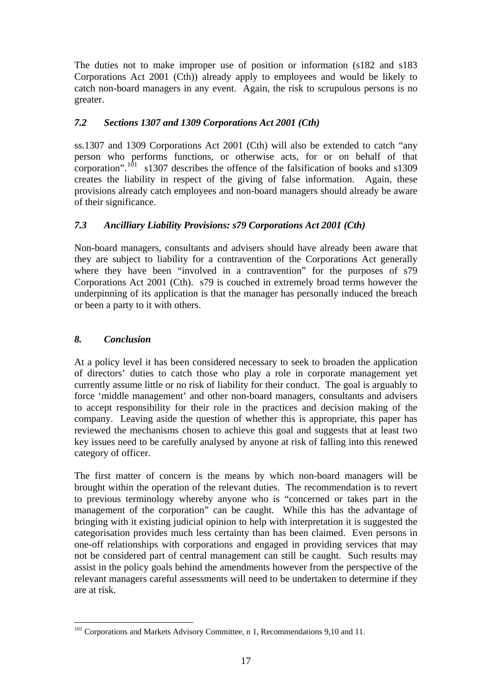The duties not to make improper use of position or information (s182 and s183 Corporations Act 2001 (Cth)) already apply to employees and would be likely to catch non-board managers in any event. Again, the risk to scrupulous persons is no greater.

# *7.2 Sections 1307 and 1309 Corporations Act 2001 (Cth)*

ss.1307 and 1309 Corporations Act 2001 (Cth) will also be extended to catch "any person who performs functions, or otherwise acts, for or on behalf of that corporation".<sup>[101](#page-16-0)</sup> s1307 describes the offence of the falsification of books and s1309 creates the liability in respect of the giving of false information. Again, these provisions already catch employees and non-board managers should already be aware of their significance.

## *7.3 Ancilliary Liability Provisions: s79 Corporations Act 2001 (Cth)*

Non-board managers, consultants and advisers should have already been aware that they are subject to liability for a contravention of the Corporations Act generally where they have been "involved in a contravention" for the purposes of s79 Corporations Act 2001 (Cth). s79 is couched in extremely broad terms however the underpinning of its application is that the manager has personally induced the breach or been a party to it with others.

### *8. Conclusion*

1

At a policy level it has been considered necessary to seek to broaden the application of directors' duties to catch those who play a role in corporate management yet currently assume little or no risk of liability for their conduct. The goal is arguably to force 'middle management' and other non-board managers, consultants and advisers to accept responsibility for their role in the practices and decision making of the company. Leaving aside the question of whether this is appropriate, this paper has reviewed the mechanisms chosen to achieve this goal and suggests that at least two key issues need to be carefully analysed by anyone at risk of falling into this renewed category of officer.

The first matter of concern is the means by which non-board managers will be brought within the operation of the relevant duties. The recommendation is to revert to previous terminology whereby anyone who is "concerned or takes part in the management of the corporation" can be caught. While this has the advantage of bringing with it existing judicial opinion to help with interpretation it is suggested the categorisation provides much less certainty than has been claimed. Even persons in one-off relationships with corporations and engaged in providing services that may not be considered part of central management can still be caught. Such results may assist in the policy goals behind the amendments however from the perspective of the relevant managers careful assessments will need to be undertaken to determine if they are at risk.

<span id="page-16-0"></span><sup>&</sup>lt;sup>101</sup> Corporations and Markets Advisory Committee, n 1, Recommendations 9,10 and 11.